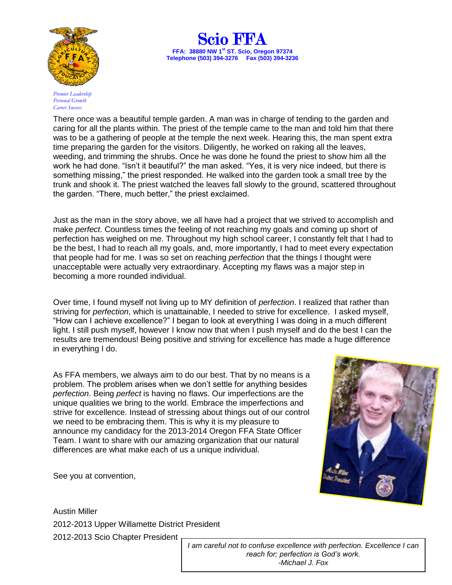

*Premier Leadership Personal Growth Career Success*



There once was a beautiful temple garden. A man was in charge of tending to the garden and caring for all the plants within. The priest of the temple came to the man and told him that there was to be a gathering of people at the temple the next week. Hearing this, the man spent extra time preparing the garden for the visitors. Diligently, he worked on raking all the leaves, weeding, and trimming the shrubs. Once he was done he found the priest to show him all the work he had done. "Isn't it beautiful?" the man asked. "Yes, it is very nice indeed, but there is something missing," the priest responded. He walked into the garden took a small tree by the trunk and shook it. The priest watched the leaves fall slowly to the ground, scattered throughout the garden. "There, much better," the priest exclaimed.

Just as the man in the story above, we all have had a project that we strived to accomplish and make *perfect*. Countless times the feeling of not reaching my goals and coming up short of perfection has weighed on me. Throughout my high school career, I constantly felt that I had to be the best, I had to reach all my goals, and, more importantly, I had to meet every expectation that people had for me. I was so set on reaching *perfection* that the things I thought were unacceptable were actually very extraordinary. Accepting my flaws was a major step in becoming a more rounded individual.

Over time, I found myself not living up to MY definition of *perfection*. I realized that rather than striving for *perfection*, which is unattainable, I needed to strive for excellence. I asked myself, "How can I achieve excellence?" I began to look at everything I was doing in a much different light. I still push myself, however I know now that when I push myself and do the best I can the results are tremendous! Being positive and striving for excellence has made a huge difference in everything I do.

As FFA members, we always aim to do our best. That by no means is a problem. The problem arises when we don't settle for anything besides *perfection*. Being *perfect* is having no flaws. Our imperfections are the unique qualities we bring to the world. Embrace the imperfections and strive for excellence. Instead of stressing about things out of our control we need to be embracing them. This is why it is my pleasure to announce my candidacy for the 2013-2014 Oregon FFA State Officer Team. I want to share with our amazing organization that our natural differences are what make each of us a unique individual.

See you at convention,

Austin Miller 2012-2013 Upper Willamette District President 2012-2013 Scio Chapter President

*I am careful not to confuse excellence with perfection. Excellence I can reach for; perfection is God's work. -Michael J. Fox*